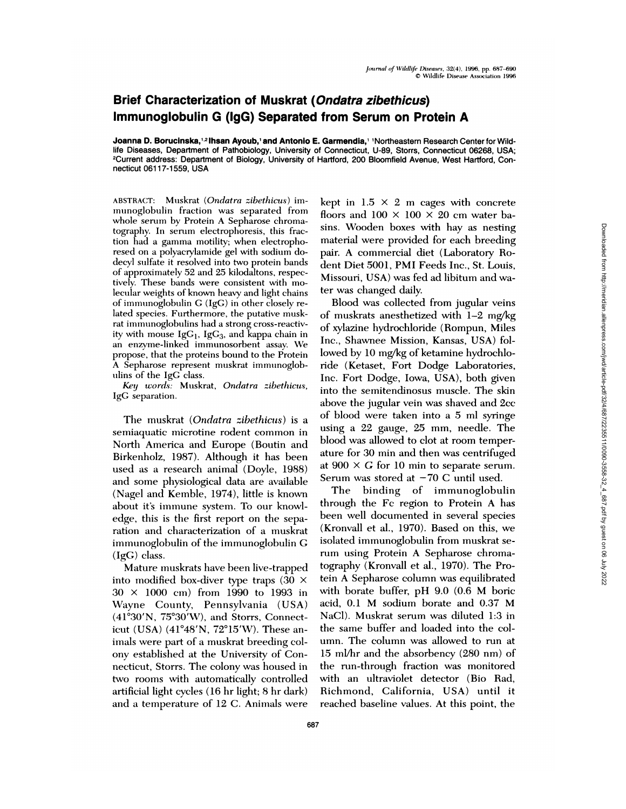## **Brief Characterization of Muskrat (Ondatra zibethicus) Immunoglobulin G (IgG) Separated from Serum on Protein A**

**Joanna D. Boruclnska,2lhsan Ayoub,' and Antonio E. Garmendia,** 1Northeastern Research Center for Wildlife Diseases, Department of Pathobiology, University of Connecticut, U-89, Storrs, Connecticut 06268, USA; 2Current address: Department of Biology, University of Hartford, 200 Bloomfield Avenue, West Hartford, Connecticut 06117-1559, USA

ABSTRACT: Muskrat *(Ondatra zibethicus)* im munoglobulin fraction was separated from whole serum by Protein A Sepharose chromatography. In serum electrophoresis, this fraction had a gamma motility; when electrophoresed on a polyacrylamide gel with sodium dodecyl sulfate it resolved into two protein bands of approximately 52 and 25 kilodaltons, respectively. These bands were consistent with molecular weights of known heavy and light chains of immunoglobulin G (IgG) in other closely related species. Furthermore, the putative muskrat immunoglobulins had a strong cross-reactivity with mouse  $IgG_1$ ,  $IgG_3$ , and kappa chain in an enzyme-linked immunosorbent assay. We propose, that the proteins bound to the Protein A Sepharose represent muskrat immunoglob ulins of the IgG class.

*Key words:* Muskrat, *Ondatra zibethicus,* IgG separation.

The muskrat *(Ondatra zibethicus)* is a semiaquatic microtine rodent common in North America and Europe (Boutin and Birkenholz, 1987). Although it has been used as a research animal (Doyle, 1988) and some physiological data are available (Nagel and Kemble, 1974), little is known about it's immune system. To our knowledge, this is the first report on the separation and characterization of a muskrat immunoglobulin of the immunoglobulin G (IgG) class.

Mature muskrats have been live-trapped into modified box-diver type traps (30 *X* 30 *X* 1000 cm) from 1990 to 1993 in Wayne County, Pennsylvania (USA)  $(41°30'N, 75°30'W)$ , and Storrs, Connecticut (USA) (41°48'N, 72°15'W). These animals were part of a muskrat breeding colony established at the University of Connecticut, Storrs. The colony was housed in two rooms with automatically controlled artificial light cycles (16 hr light; 8 hr dark) and a temperature of 12 C. Animals were kept in  $1.5 \times 2$  m cages with concrete floors and  $100 \times 100 \times 20$  cm water basins. Wooden boxes with hay as nesting material were provided for each breeding pair. A commercial diet (Laboratory Rodent Diet 5001, PMI Feeds Inc., St. Louis, Missouri, USA) was fed ad libitum and water was changed daily.

Blood was collected from jugular veins of muskrats anesthetized with 1-2 mg/kg of xylazine hydrochloride (Rompun, Miles Inc., Shawnee Mission, Kansas, USA) followed by 10 mg/kg of ketamine hydrochloride (Ketaset, Fort Dodge Laboratories, Inc. Fort Dodge, Iowa, USA), both given into the semitendinosus muscle. The skin above the jugular vein was shaved and 2cc of blood were taken into a 5 ml syringe using a 22 gauge, 25 mm, needle. The blood was allowed to clot at room temperature for 30 min and then was centrifuged at  $900 \times G$  for 10 min to separate serum. Serum was stored at  $-70$  C until used.

The binding of immunoglobulin through the Fc region to Protein A has been well documented in several species (Kronvall et al., 1970). Based on this, we isolated immunoglobulin from muskrat serum using Protein A Sepharose chromatography (Kronvall et al., 1970). The Protein A Sepharose column was equilibrated with borate buffer, pH 9.0 (0.6 M boric acid, 0.1 M sodium borate and 0.37 M NaCl). Muskrat serum was diluted 1:3 in the same buffer and loaded into the col umn. The column was allowed to run at 15 mI/hr and the absorbency (280 nm) of the run-through fraction was monitored with an ultraviolet detector (Bio Rad, Richmond, California, USA) until it reached baseline values. At this point, the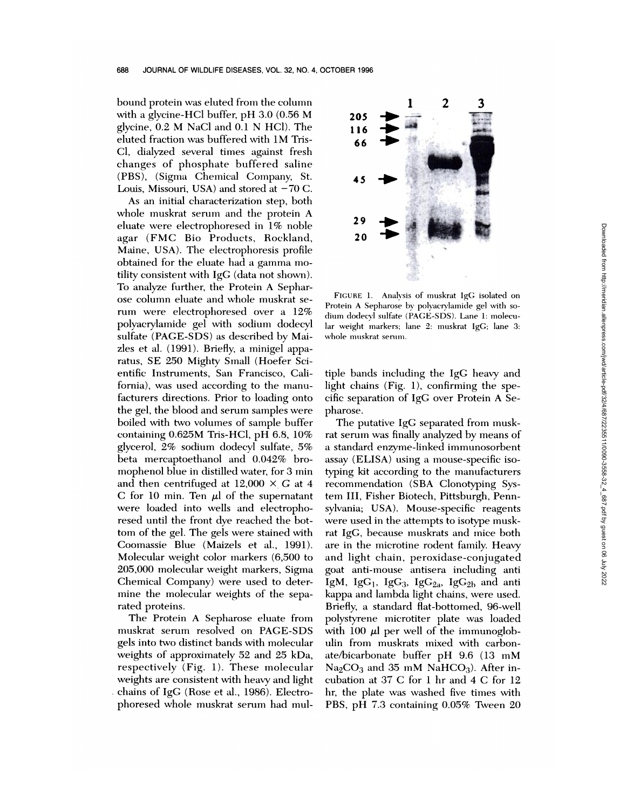bound protein was eluted from the column with a glycine-HC1 buffer, pH 3.0 (0.56 M glycine, 0.2 M NaC1 and 0.1 N HC1). The eluted fraction was buffered with 1M Tris-Cl, dialyzed several times against fresh changes of phosphate buffered saline (PBS), (Sigma Chemical Company, St. Louis, Missouri, USA) and stored at  $-70$  C.

As an initial characterization step, both whole muskrat serum and the protein A eluate were electrophoresed in 1% noble agar (FMC Bio Products, Rockland, Maine, USA). The electrophoresis profile obtained for the eluate had a gamma motility consistent with IgG (data not shown). To analyze further, the Protein A Sephar ose column eluate and whole muskrat se rum were electrophoresed over a 12% polyacrylamide gel with sodium dodecyl sulfate (PAGE-SDS) as described by Maizles et al. (1991). Briefly, a minigel apparatus, SE 250 Mighty Small (Hoefer Scientific Instruments, San Francisco, California), was used according to the manufacturers directions. Prior to loading onto the gel, the blood and serum samples were boiled with two volumes of sample buffer containing 0.625M Tris-HC1, pH 6.8, 10% glycerol, 2% sodium dodecyl sulfate, 5% beta mercaptoethanol and 0.042% bromophenol blue in distilled water, for 3 min and then centrifuged at  $12,000 \times G$  at 4 C for 10 min. Ten  $\mu$  of the supernatant were loaded into wells and electrophoresed until the front dye reached the bottom of the gel. The gels were stained with Coomassie Blue (Maizels et al., 1991). Molecular weight color markers (6,500 to 205,000 molecular weight markers, Sigma Chemical Company) were used to determine the molecular weights of the separated proteins.

The Protein A Sepharose eluate from muskrat serum resolved on PAGE-SDS gels into two distinct bands with molecular weights of approximately 52 and 25 kDa, respectively (Fig. 1). These molecular weights are consistent with heavy and light chains of IgG (Rose et al., 1986). Electrophoresed whole muskrat serum had mul-



FIGURE 1. Analysis of muskrat IgG isolated on Protein A Sepharose by polyacrylamide gel with so dium dodecyl sulfate (PAGE-SDS). Lane 1: molecular weight markers; lane 2: muskrat IgG; lane 3: whole muskrat serum.

tiple bands including the IgG heavy and light chains (Fig. 1), confirming the specific separation of IgG over Protein A Sepharose.

The putative IgG separated from muskrat serum was finally analyzed by means of a standard enzyme-linked immunosorbent assay (ELISA) using a mouse-specific isotyping kit according to the manufacturers recommendation (SBA Clonotyping System III, Fisher Biotech, Pittsburgh, Pennsylvania; USA). Mouse-specific reagents were used in the attempts to isotype muskrat IgG, because muskrats and mice both are in the microtine rodent family. Heavy and light chain, peroxidase-conjugated goat anti-mouse antisera including anti IgM, IgG<sub>1</sub>, IgG<sub>2</sub>, IgG<sub>2a</sub>, IgG<sub>2b</sub> and anti kappa and lambda light chains, were used. Briefly, a standard flat-bottomed, 96-well polystyrene microtiter plate was loaded with 100  $\mu$ l per well of the immunoglobulin from muskrats mixed with carbonate/bicarbonate buffer pH 9.6 (13 mM  $Na<sub>2</sub>CO<sub>3</sub>$  and 35 mM NaHCO<sub>3</sub>). After incubation at 37 C for 1 hr and 4 C for 12 hr, the plate was washed five times with PBS, pH 7.4 contained from the match of the match of the spin and spin and spin and spin and spin and spin and spin and spin and spin and spin and spin and spin and spin and spin and spin and spin and spin and spin and sp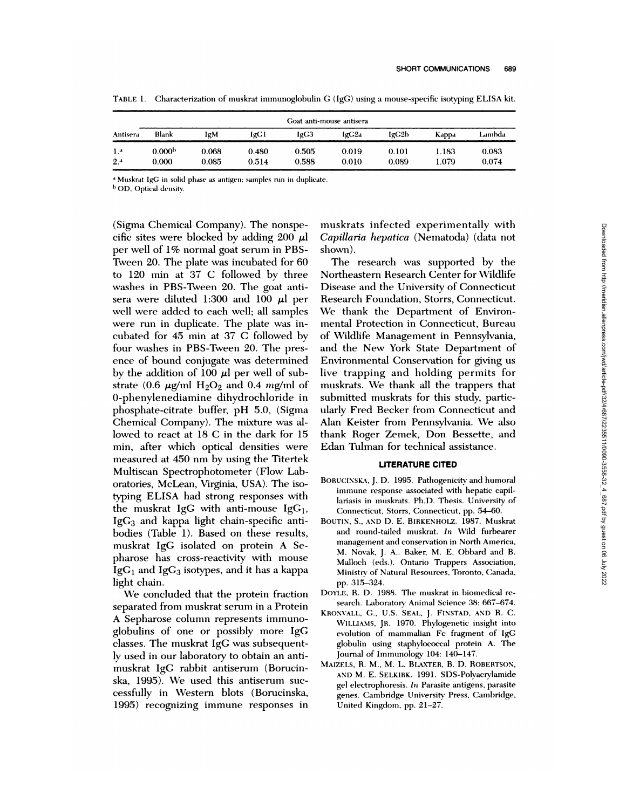|                | Goat anti-mouse antisera |       |       |       |       |       |       |        |
|----------------|--------------------------|-------|-------|-------|-------|-------|-------|--------|
| Antisera       | Blank                    | IgM   | IgG1  | IgC3  | IgG2a | lgG2b | Kappa | Lambda |
| 1.ª            | 0.000 <sup>b</sup>       | 0.068 | 0.480 | 0.505 | 0.019 | 0.101 | 1.183 | 0.083  |
| 2 <sup>a</sup> | 0.000                    | 0.085 | 0.514 | 0.588 | 0.010 | 0.089 | 1.079 | 0.074  |

TABLE 1. Characterization of muskrat immunoglobulin G (IgG) using a mouse-specific isotyping ELISA kit.

<sup>a</sup> Muskrat IgG in solid phase as antigen; samples run in duplicate.

<sup>b</sup> OD, Optical density.

(Sigma Chemical Company). The nonspecific sites were blocked by adding 200  $\mu$ . per well of 1% normal goat serum in PBS-Tween 20. The plate was incubated for 60 to 120 min at 37 C followed by three washes in PBS-Tween 20. The goat anti sera were diluted 1:300 and 100  $\mu$ l per well were added to each well; all samples were run in duplicate. The plate was incubated for 45 min at 37 C followed by four washes in PBS-Tween 20. The pres ence of bound conjugate was determined by the addition of 100  $\mu$ l per well of substrate (0.6  $\mu$ g/ml H<sub>2</sub>O<sub>2</sub> and 0.4 mg/ml of 0-phenylenediamine dihydrochloride in phosphate-citrate buffer, pH 5.0, (Sigma Chemical Company). The mixture was allowed to react at 18 C in the dark for 15 min, after which optical densities were measured at 450 nm by using the Titertek Multiscan Spectrophotometer (Flow Laboratories, McLean, Virginia, USA). The isotyping ELISA had strong responses with the muskrat IgG with anti-mouse IgG<sub>1</sub>,  $IgG_3$  and kappa light chain-specific antibodies (Table 1). Based on these results, muskrat IgG isolated on protein A Sepharose has cross-reactivity with mouse  $IgG_1$  and  $IgG_3$  isotypes, and it has a kappa light chain.

We concluded that the protein fraction separated from muskrat serum in a Protein A Sepharose column represents immunoglobulins of one or possibly more IgG classes. The muskrat IgG was subsequently used in our laboratory to obtain an antimuskrat IgG rabbit antiserum (Borucinska, 1995). We used this antiserum suc cessfully in Western blots (Borucinska, 1995) recognizing immune responses in muskrats infected experimentally with *Capillaria hepatica* (Nematoda) (data not shown).

The research was supported by the Northeastern Research Center for Wildlife Disease and the University of Connecticut Research Foundation, Storrs, Connecticut. We thank the Department of Environmental Protection in Connecticut, Bureau of Wildlife Management in Pennsylvania, and the New York State Department of Environmental Conservation for giving us live trapping and holding permits for muskrats. We thank all the trappers that submitted muskrats for this study, particularly Fred Becker from Connecticut and Alan Keister from Pennsylvania. We also thank Roger Zemek, Don Bessette, and Edan Tulman for technical assistance.

## **LITERATURE CITED**

- BORUCINSKA, J. D. 1995. Pathogenicity and humoral immune response associated with hepatic capillariasis in muskrats. Ph.D. Thesis. University of Connecticut, Storrs, Connecticut, pp. 54-60.
- BOUTIN, S., AND D. E. BIRKENHOLZ. 1987. Muskrat and round-tailed muskrat. *In* Wild furbearer management and conservation in North America, M. Novak, J. A.. Baker, M. E. Obbard and B. Malloch (eds.). Ontario Trappers Association, Ministry of Natural Resources, Toronto, Canada, pp. 315-324.
- DOYLE, R. D. 1988. The muskrat in biomedical re search. Laboratory Animal Science 38: 667-674.
- KRONVALL, G., U.S. SEAL, J. FINSTAD, AND R. C. WILLIAMs, JR. 1970. Phylogenetic insight into evolution of mammalian Fc fragment of IgG globulin using staphylococcal protein A. The Journal of Immunology 104: 140-147.
- MAIZELS, R. M., M. L. BLAXTER, B. D. ROBERTSON, AND M. E. SELKIRK. 1991. SDS-Polyactylamide gel electrophoresis. *In* Parasite antigens, parasite genes. Cambridge University Press, Cambridge, United Kingdom. pp. 21-27.